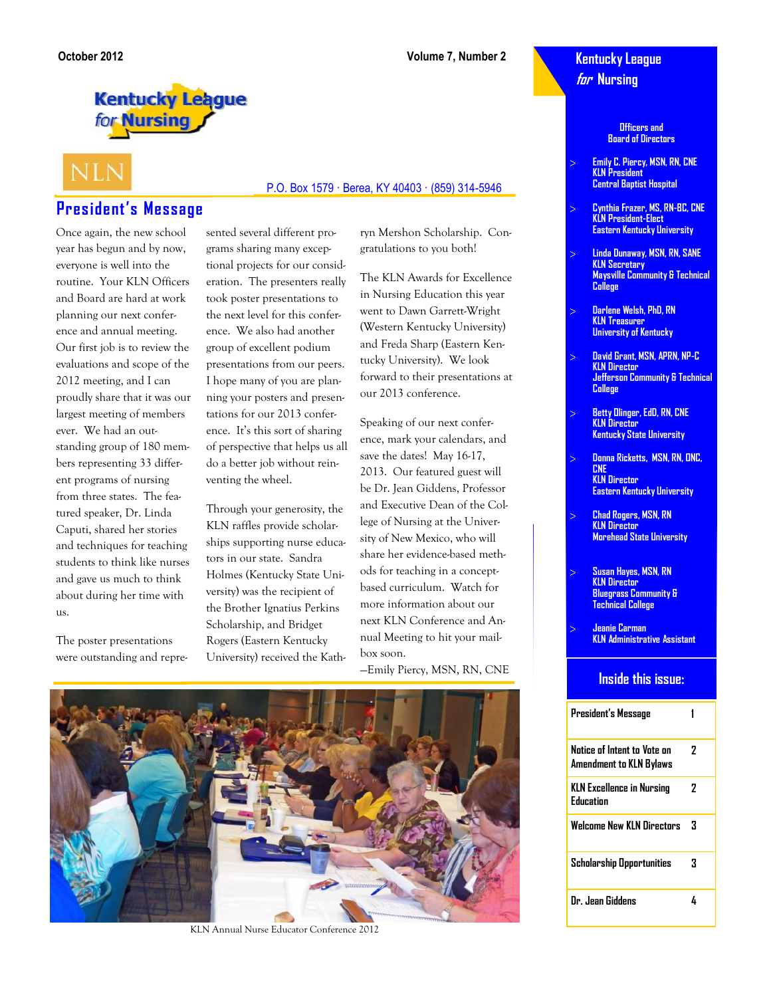### **Kentucky League for Nursing**

**Officers and Board of Directors**

- **Emily C. Piercy, MSN, RN, CNE KLN President Central Baptist Hospital**
- **Cynthia Frazer, MS, RN-BC, CNE KLN President-Elect Eastern Kentucky University**
- **Linda Dunaway, MSN, RN, SANE KLN Secretary Maysville Community & Technical College**
- **Darlene Welsh, PhD, RN KLN Treasurer University of Kentucky**
- **David Grant, MSN, APRN, NP-C KLN Director Jefferson Community & Technical College**
- **Betty Olinger, EdD, RN, CNE KLN Director Kentucky State University**
- **Donna Ricketts, MSN, RN, ONC, CNE KLN Director Eastern Kentucky University**
- **Chad Rogers, MSN, RN KLN Director Morehead State University**
- **Susan Hayes, MSN, RN KLN Director Bluegrass Community & Technical College**
- **Jeanie Carman KLN Administrative Assistant**

#### **Inside this issue:**

| President's Message                                    |   |
|--------------------------------------------------------|---|
| Notice of Intent to Vate on<br>Amendment to KLN Bylaws | 7 |
| <b>KLN Excellence in Nursing</b><br>Fducation          | 7 |
| <b>Welcome New KLN Directors</b>                       | З |
| Scholarship Opportunities                              | 3 |
| Dr. Jean Giddens                                       |   |

# **Kentucky League** for Nursing

# **NLN**

### **President's Message**

Once again, the new school year has begun and by now, everyone is well into the routine. Your KLN Officers and Board are hard at work planning our next conference and annual meeting. Our first job is to review the evaluations and scope of the 2012 meeting, and I can proudly share that it was our largest meeting of members ever. We had an outstanding group of 180 members representing 33 different programs of nursing from three states. The featured speaker, Dr. Linda Caputi, shared her stories and techniques for teaching students to think like nurses and gave us much to think about during her time with us.

The poster presentations were outstanding and repre-

#### P.O. Box 1579 · Berea, KY 40403 · (859) 314-5946

sented several different programs sharing many exceptional projects for our consideration. The presenters really took poster presentations to the next level for this conference. We also had another group of excellent podium presentations from our peers. I hope many of you are planning your posters and presentations for our 2013 conference. It's this sort of sharing of perspective that helps us all do a better job without reinventing the wheel.

Through your generosity, the KLN raffles provide scholarships supporting nurse educators in our state. Sandra Holmes (Kentucky State University) was the recipient of the Brother Ignatius Perkins Scholarship, and Bridget Rogers (Eastern Kentucky University) received the Kathgratulations to you both! The KLN Awards for Excellence

ryn Mershon Scholarship. Con-

in Nursing Education this year went to Dawn Garrett-Wright (Western Kentucky University) and Freda Sharp (Eastern Kentucky University). We look forward to their presentations at our 2013 conference.

Speaking of our next conference, mark your calendars, and save the dates! May 16-17, 2013. Our featured guest will be Dr. Jean Giddens, Professor and Executive Dean of the College of Nursing at the University of New Mexico, who will share her evidence-based methods for teaching in a conceptbased curriculum. Watch for more information about our next KLN Conference and Annual Meeting to hit your mailbox soon.

—Emily Piercy, MSN, RN, CNE



KLN Annual Nurse Educator Conference 2012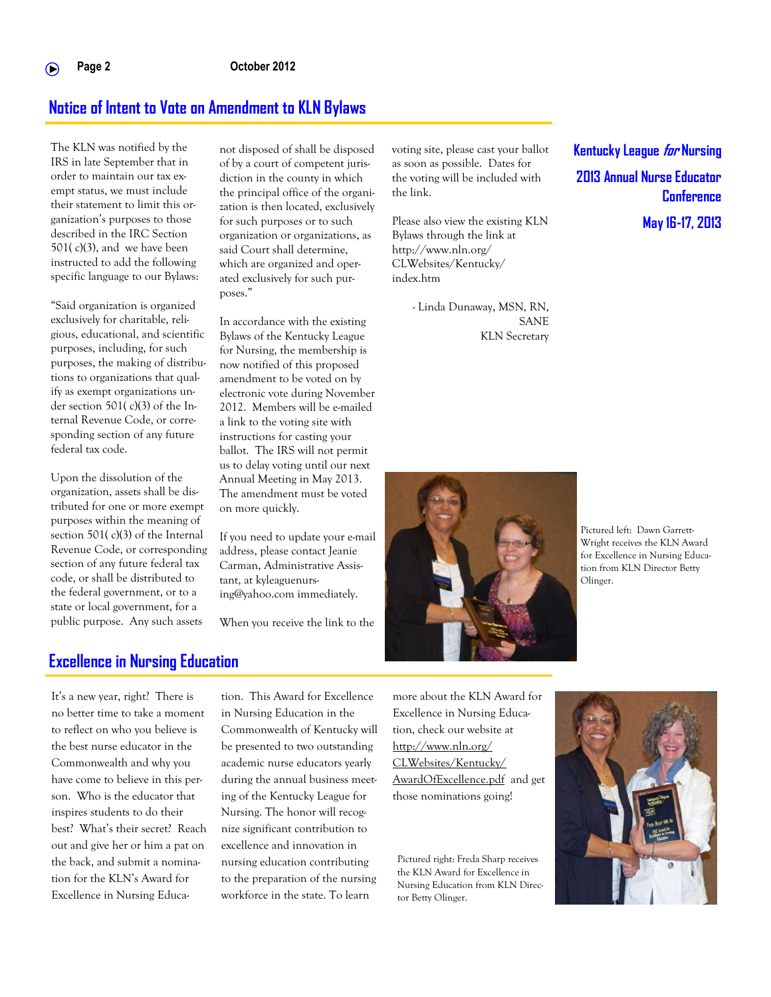### **Notice of Intent to Vote on Amendment to KLN Bylaws**

The KLN was notified by the IRS in late September that in order to maintain our tax exempt status, we must include their statement to limit this organization's purposes to those described in the IRC Section  $501(c)(3)$ , and we have been instructed to add the following specific language to our Bylaws:

"Said organization is organized exclusively for charitable, religious, educational, and scientific purposes, including, for such purposes, the making of distributions to organizations that qualify as exempt organizations under section 501( c)(3) of the Internal Revenue Code, or corresponding section of any future federal tax code.

Upon the dissolution of the organization, assets shall be distributed for one or more exempt purposes within the meaning of section 501( c)(3) of the Internal Revenue Code, or corresponding section of any future federal tax code, or shall be distributed to the federal government, or to a state or local government, for a public purpose. Any such assets

not disposed of shall be disposed of by a court of competent jurisdiction in the county in which the principal office of the organization is then located, exclusively for such purposes or to such organization or organizations, as said Court shall determine, which are organized and operated exclusively for such purposes."

In accordance with the existing Bylaws of the Kentucky League for Nursing, the membership is now notified of this proposed amendment to be voted on by electronic vote during November 2012. Members will be e-mailed a link to the voting site with instructions for casting your ballot. The IRS will not permit us to delay voting until our next Annual Meeting in May 2013. The amendment must be voted on more quickly.

If you need to update your e-mail address, please contact Jeanie Carman, Administrative Assistant, at kyleaguenursing@yahoo.com immediately.

When you receive the link to the

voting site, please cast your ballot as soon as possible. Dates for the voting will be included with the link.

Please also view the existing KLN Bylaws through the link at http://www.nln.org/ CLWebsites/Kentucky/ index.htm

> - Linda Dunaway, MSN, RN, SANE KLN Secretary

**Kentucky League for Nursing 2013 Annual Nurse Educator Conference**

**May 16-17, 2013**



Pictured left: Dawn Garrett-Wright receives the KLN Award for Excellence in Nursing Education from KLN Director Betty Olinger.

### **Excellence in Nursing Education**

It's a new year, right? There is no better time to take a moment to reflect on who you believe is the best nurse educator in the Commonwealth and why you have come to believe in this person. Who is the educator that inspires students to do their best? What's their secret? Reach out and give her or him a pat on the back, and submit a nomination for the KLN's Award for Excellence in Nursing Education. This Award for Excellence in Nursing Education in the Commonwealth of Kentucky will be presented to two outstanding academic nurse educators yearly during the annual business meeting of the Kentucky League for Nursing. The honor will recognize significant contribution to excellence and innovation in nursing education contributing to the preparation of the nursing workforce in the state. To learn

more about the KLN Award for Excellence in Nursing Education, check our website at [http://www.nln.org/](http://www.nln.org/CLWebsites/Kentucky/AwardOfExcellence.pdf) [CLWebsites/Kentucky/](http://www.nln.org/CLWebsites/Kentucky/AwardOfExcellence.pdf) [AwardOfExcellence.pdf](http://www.nln.org/CLWebsites/Kentucky/AwardOfExcellence.pdf) and get those nominations going!

Pictured right: Freda Sharp receives the KLN Award for Excellence in Nursing Education from KLN Director Betty Olinger.

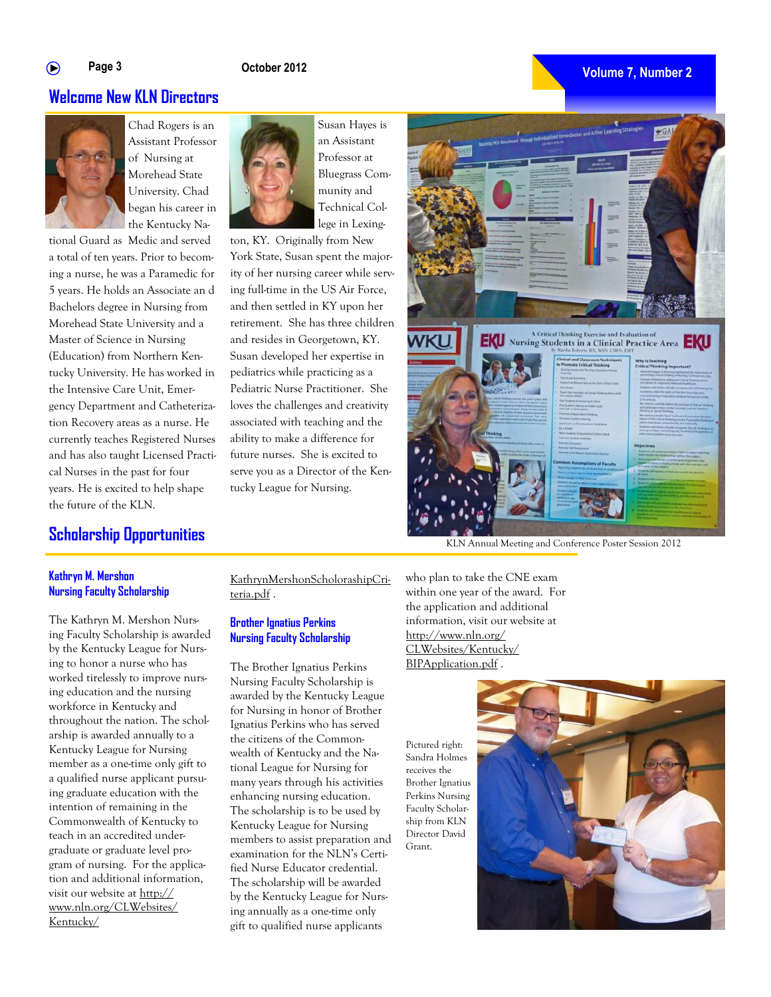#### **Page 3** ∩

#### **October 2012**

#### **Volume 7, Number 2**

### **Welcome New KLN Directors**



Chad Rogers is an Assistant Professor of Nursing at Morehead State University. Chad began his career in the Kentucky Na-

tional Guard as Medic and served a total of ten years. Prior to becoming a nurse, he was a Paramedic for 5 years. He holds an Associate an d Bachelors degree in Nursing from Morehead State University and a Master of Science in Nursing (Education) from Northern Kentucky University. He has worked in the Intensive Care Unit, Emergency Department and Catheterization Recovery areas as a nurse. He currently teaches Registered Nurses and has also taught Licensed Practical Nurses in the past for four years. He is excited to help shape the future of the KLN.

### **Scholarship Opportunities**

Susan Hayes is an Assistant Professor at Bluegrass Community and Technical College in Lexing-

ton, KY. Originally from New York State, Susan spent the majority of her nursing career while serving full-time in the US Air Force, and then settled in KY upon her retirement. She has three children and resides in Georgetown, KY. Susan developed her expertise in pediatrics while practicing as a Pediatric Nurse Practitioner. She loves the challenges and creativity associated with teaching and the ability to make a difference for future nurses. She is excited to serve you as a Director of the Kentucky League for Nursing.



KLN Annual Meeting and Conference Poster Session 2012

#### **Kathryn M. Mershon Nursing Faculty Scholarship**

The Kathryn M. Mershon Nursing Faculty Scholarship is awarded by the Kentucky League for Nursing to honor a nurse who has worked tirelessly to improve nursing education and the nursing workforce in Kentucky and throughout the nation. The scholarship is awarded annually to a Kentucky League for Nursing member as a one-time only gift to a qualified nurse applicant pursuing graduate education with the intention of remaining in the Commonwealth of Kentucky to teach in an accredited undergraduate or graduate level program of nursing. For the application and additional information, visit our website at http:// www.nln.org/CLWebsites/ Kentucky/

KathrynMershonScholorashipCriteria.pdf .

#### **Brother Ignatius Perkins Nursing Faculty Scholarship**

The Brother Ignatius Perkins Nursing Faculty Scholarship is awarded by the Kentucky League for Nursing in honor of Brother Ignatius Perkins who has served the citizens of the Commonwealth of Kentucky and the National League for Nursing for many years through his activities enhancing nursing education. The scholarship is to be used by Kentucky League for Nursing members to assist preparation and examination for the NLN's Certified Nurse Educator credential. The scholarship will be awarded by the Kentucky League for Nursing annually as a one-time only gift to qualified nurse applicants

who plan to take the CNE exam within one year of the award. For the application and additional information, visit our website at http://www.nln.org/ CLWebsites/Kentucky/ BIPApplication.pdf .

Pictured right: Sandra Holmes receives the Brother Ignatius Perkins Nursing Faculty Scholarship from KLN Director David Grant.